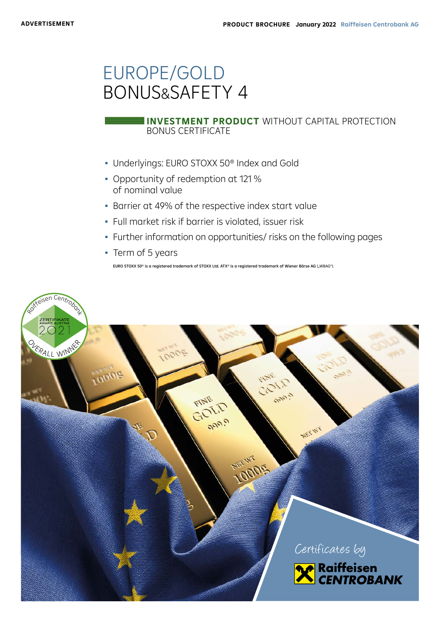# EUROPE/GOLD BONUS&SAFETY 4

## BONUS CERTIFICATE **INVESTMENT PRODUCT** WITHOUT CAPITAL PROTECTION

- Underlyings: EURO STOXX 50® Index and Gold
- Opportunity of redemption at 121 % of nominal value
- **· Barrier at 49% of the respective index start value**
- Full market risk if barrier is violated, issuer risk
- Further information on opportunities/ risks on the following pages
- Term of 5 years

EURO STOXX 50® is a registered trademark of STOXX Ltd. ATX® is a registered trademark of Wiener Börse AG ("WBAG").

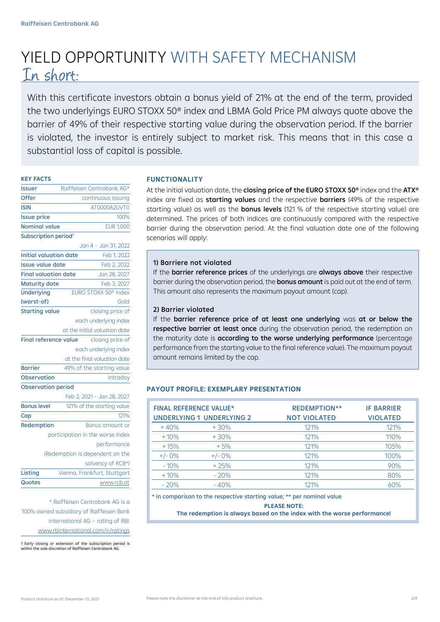# YIELD OPPORTUNITY WITH SAFETY MECHANISM In short:

With this certificate investors obtain a bonus yield of 21% at the end of the term, provided the two underlyings EURO STOXX 50® index and LBMA Gold Price PM always quote above the barrier of 49% of their respective starting value during the observation period. If the barrier is violated, the investor is entirely subject to market risk. This means that in this case a substantial loss of capital is possible.

## **KEY FACTS**

| lssuer                                           | Raiffeisen Centrobank AG*        |  |  |  |  |
|--------------------------------------------------|----------------------------------|--|--|--|--|
| Offer                                            | continuous issuing               |  |  |  |  |
| <b>ISIN</b>                                      | AT0000A2UVT0                     |  |  |  |  |
| <b>Issue price</b>                               | 100%                             |  |  |  |  |
| <b>Nominal value</b>                             | <b>EUR 1,000</b>                 |  |  |  |  |
| Subscription period <sup>1</sup>                 |                                  |  |  |  |  |
|                                                  | Jan 4 - Jan 31, 2022             |  |  |  |  |
| <b>Initial valuation date</b>                    | Feb 1, 2022                      |  |  |  |  |
| <b>Issue value date</b>                          | Feb 2, 2022                      |  |  |  |  |
| <b>Final valuation date</b>                      | Jan 28, 2027                     |  |  |  |  |
| <b>Maturity date</b>                             | Feb 3, 2027                      |  |  |  |  |
| <b>Underlying</b>                                | EURO STOXX 50 <sup>®</sup> Index |  |  |  |  |
| (worst-of)                                       | Gold                             |  |  |  |  |
| <b>Starting value</b>                            | closing price of                 |  |  |  |  |
|                                                  | each underlying index            |  |  |  |  |
|                                                  | at the initial valuation date    |  |  |  |  |
| <b>Final reference value</b><br>closing price of |                                  |  |  |  |  |
|                                                  | each underlying index            |  |  |  |  |
|                                                  | at the final valuation date      |  |  |  |  |
| <b>Barrier</b>                                   | 49% of the starting value        |  |  |  |  |
| <b>Observation</b>                               | Intraday                         |  |  |  |  |
| <b>Observation period</b>                        |                                  |  |  |  |  |
|                                                  | Feb 2, 2021 - Jan 28, 2027       |  |  |  |  |
| <b>Bonus level</b>                               | 121% of the starting value       |  |  |  |  |
| Cap                                              | 121%                             |  |  |  |  |
| Redemption                                       | Bonus amount or                  |  |  |  |  |
| participation in the worse index                 |                                  |  |  |  |  |
|                                                  | performance                      |  |  |  |  |
| (Redemption is dependent on the                  |                                  |  |  |  |  |
|                                                  | solvency of RCB*)                |  |  |  |  |
| Listing                                          | Vienna, Frankfurt, Stuttgart     |  |  |  |  |
| Quotes                                           | www.rcb.at                       |  |  |  |  |

\* Raiffeisen Centrobank AG is a 100% owned subsidiary of Raiffeisen Bank International AG – rating of RBI: www.rbinternational.com/ir/ratings

1 Early closing or extension of the subscription period is within the sole discretion of Raiffeisen Centrobank AG.

## **FUNCTIONALITY**

At the initial valuation date, the closing price of the EURO STOXX 50<sup>®</sup> index and the ATX<sup>®</sup> index are fixed as starting values and the respective barriers (49% of the respective starting value) as well as the **bonus levels** (121 % of the respective starting value) are determined. The prices of both indices are continuously compared with the respective barrier during the observation period. At the final valuation date one of the following scenarios will apply:

## 1) Barriere not violated

If the barrier reference prices of the underlyings are always above their respective barrier during the observation period, the **bonus amount** is paid out at the end of term. This amount also represents the maximum payout amount (cap).

## 2) Barrier violated

If the barrier reference price of at least one underlying was at or below the respective barrier at least once during the observation period, the redemption on the maturity date is **according to the worse underlying performance** (percentage performance from the starting value to the final reference value). The maximum payout amount remains limited by the cap.

## **PAYOUT PROFILE: EXEMPLARY PRESENTATION**

|          | <b>FINAL REFERENCE VALUE*</b><br><b>UNDERLYING 1 UNDERLYING 2</b> | <b>REDEMPTION**</b><br><b>NOT VIOLATED</b> | <b>IF BARRIER</b><br><b>VIOLATED</b> |
|----------|-------------------------------------------------------------------|--------------------------------------------|--------------------------------------|
| $+40%$   | $+30%$                                                            | 121%                                       | 121%                                 |
| $+10%$   | $+30%$                                                            | 121%                                       | 110%                                 |
| $+15%$   | $+5%$                                                             | 121%                                       | 105%                                 |
| $+/-0\%$ | $+/-0\%$                                                          | 121%                                       | 100%                                 |
| $-10%$   | $+25%$                                                            | 121%                                       | 90%                                  |
| $+10%$   | $-20%$                                                            | 121%                                       | 80%                                  |
| $-20%$   | $-40%$                                                            | 121%                                       | 60%                                  |

\* in comparison to the respective starting value; \*\* per nominal value

## **PLEASE NOTE: The redemption is always based on the index with the worse performance!**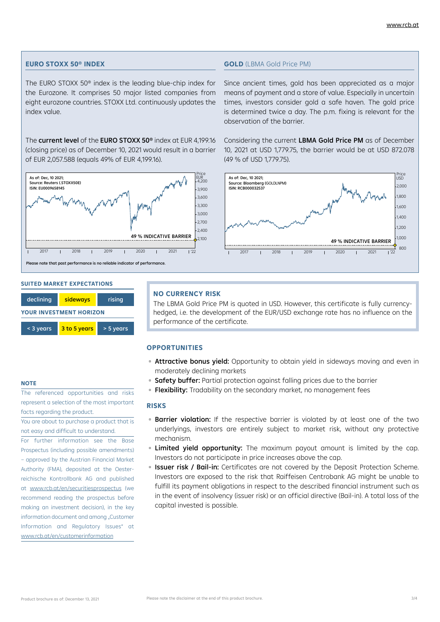### **EURO STOXX 50® INDEX**

The EURO STOXX 50® index is the leading blue-chip index for the Eurozone. It comprises 50 major listed companies from eight eurozone countries. STOXX Ltd. continuously updates the index value.

The current level of the EURO STOXX 50<sup>®</sup> index at EUR 4,199.16 (closing price) as of December 10, 2021 would result in a barrier of EUR 2,057.588 (equals 49% of EUR 4,199.16).



#### **SUITED MARKET EXPECTATIONS**

| declining                      | sideways     | rising    |  |  |  |  |
|--------------------------------|--------------|-----------|--|--|--|--|
| <b>YOUR INVESTMENT HORIZON</b> |              |           |  |  |  |  |
| < 3 years                      | 3 to 5 years | > 5 years |  |  |  |  |

### **NOTE**

The referenced opportunities and risks represent a selection of the most important facts regarding the product.

You are about to purchase a product that is not easy and difficult to understand.

For further information see the Base Prospectus (including possible amendments) – approved by the Austrian Financial Market Authority (FMA), deposited at the Oesterreichische Kontrollbank AG and published at www.rcb.at/en/securitiesprospectus (we recommend reading the prospectus before making an investment decision), in the key information document and among "Customer Information and Regulatory Issues" at www.rcb.at/en/customerinformation

#### **GOLD** (LBMA Gold Price PM)

Since ancient times, gold has been appreciated as a major means of payment and a store of value. Especially in uncertain times, investors consider gold a safe haven. The gold price is determined twice a day. The p.m. fixing is relevant for the observation of the barrier.

Considering the current LBMA Gold Price PM as of December 10, 2021 at USD 1,779.75, the barrier would be at USD 872.078 (49 % of USD 1,779.75).



#### **NO CURRENCY RISK**

The LBMA Gold Price PM is quoted in USD. However, this certificate is fully currencyhedged, i.e. the development of the EUR/USD exchange rate has no influence on the performance of the certificate.

## **OPPORTUNITIES**

- **Attractive bonus yield:** Opportunity to obtain yield in sideways moving and even in moderately declining markets
- Safety buffer: Partial protection against falling prices due to the barrier
- Flexibility: Tradability on the secondary market, no management fees

#### **RISKS**

- **Barrier violation:** If the respective barrier is violated by at least one of the two underlyings, investors are entirely subject to market risk, without any protective mechanism.
- **· Limited yield opportunity:** The maximum payout amount is limited by the cap. Investors do not participate in price increases above the cap.
- **Issuer risk / Bail-in:** Certificates are not covered by the Deposit Protection Scheme. Investors are exposed to the risk that Raiffeisen Centrobank AG might be unable to fulfill its payment obligations in respect to the described financial instrument such as in the event of insolvency (issuer risk) or an official directive (Bail-in). A total loss of the capital invested is possible.